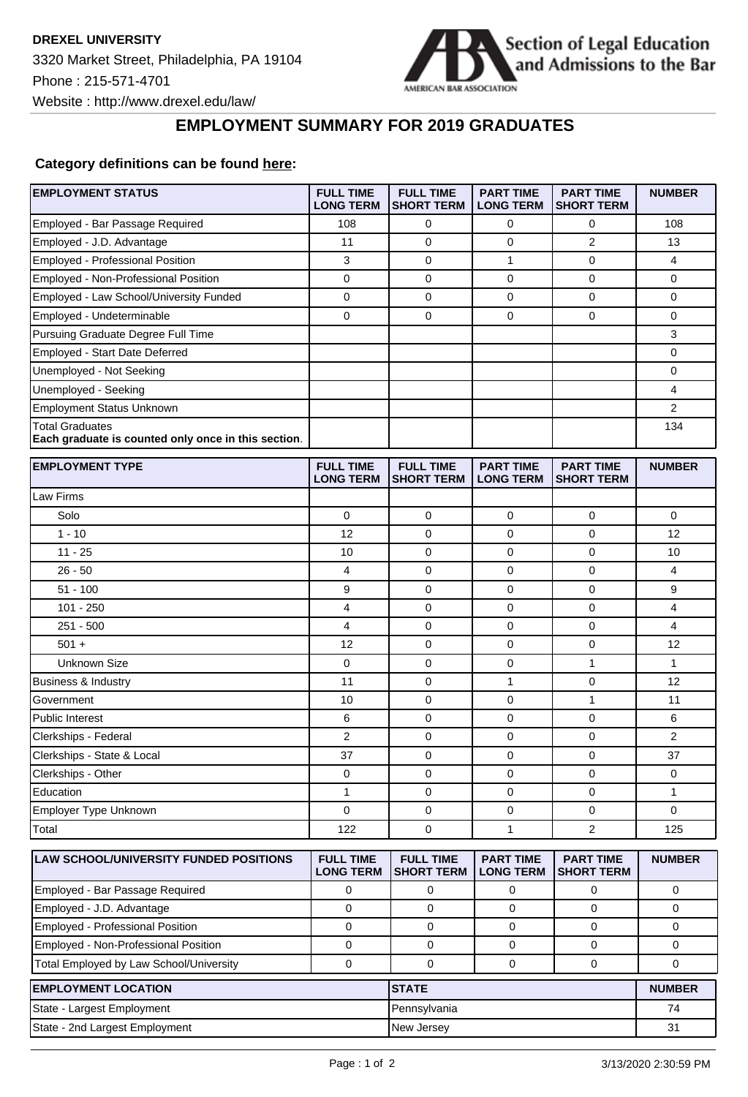

## **EMPLOYMENT SUMMARY FOR 2019 GRADUATES**

## **Category definitions can be found [here:](https://www.americanbar.org/content/dam/aba/administrative/legal_education_and_admissions_to_the_bar/Questionnaires/2020employmentquestionnaire/2020-aba-employment-protocols-class-of-2019.pdf)**

**EMPLOYMENT STATUS** 

| <b>EMPLOYMENT STATUS</b>                                                      | <b>FULL TIME</b><br><b>LONG TERM</b> | <b>FULL TIME</b><br><b>SHORT TERM</b> | <b>PART TIME</b><br><b>LONG TERM</b> | <b>PART TIME</b><br><b>SHORT TERM</b> | <b>NUMBER</b>  |
|-------------------------------------------------------------------------------|--------------------------------------|---------------------------------------|--------------------------------------|---------------------------------------|----------------|
| Employed - Bar Passage Required                                               | 108                                  | 0                                     | 0                                    | 0                                     | 108            |
| Employed - J.D. Advantage                                                     | 11                                   | 0                                     | 0                                    | $\overline{2}$                        | 13             |
| Employed - Professional Position                                              | 3                                    | $\mathbf 0$                           | 1                                    | 0                                     | 4              |
| Employed - Non-Professional Position                                          | 0                                    | 0                                     | 0                                    | 0                                     | 0              |
| Employed - Law School/University Funded                                       | $\mathbf 0$                          | $\mathbf 0$                           | $\mathbf 0$                          | 0                                     | 0              |
| Employed - Undeterminable                                                     | $\mathbf 0$                          | $\mathbf 0$                           | 0                                    | 0                                     | 0              |
| Pursuing Graduate Degree Full Time                                            |                                      |                                       |                                      |                                       | 3              |
| Employed - Start Date Deferred                                                |                                      |                                       |                                      |                                       | 0              |
| Unemployed - Not Seeking                                                      |                                      |                                       |                                      |                                       | 0              |
| Unemployed - Seeking                                                          |                                      |                                       |                                      |                                       | 4              |
| <b>Employment Status Unknown</b>                                              |                                      |                                       |                                      |                                       | $\overline{2}$ |
| <b>Total Graduates</b><br>Each graduate is counted only once in this section. |                                      |                                       |                                      |                                       | 134            |
| <b>EMPLOYMENT TYPE</b>                                                        | <b>FULL TIME</b><br><b>LONG TERM</b> | <b>FULL TIME</b><br><b>SHORT TERM</b> | <b>PART TIME</b><br><b>LONG TERM</b> | <b>PART TIME</b><br><b>SHORT TERM</b> | <b>NUMBER</b>  |
| Law Firms                                                                     |                                      |                                       |                                      |                                       |                |
| Solo                                                                          | 0                                    | 0                                     | 0                                    | 0                                     | 0              |
| $1 - 10$                                                                      | 12                                   | $\mathbf 0$                           | 0                                    | 0                                     | 12             |
| $11 - 25$                                                                     | 10                                   | 0                                     | 0                                    | 0                                     | 10             |
| $26 - 50$                                                                     | 4                                    | 0                                     | 0                                    | 0                                     | 4              |
| $51 - 100$                                                                    | 9                                    | 0                                     | 0                                    | 0                                     | 9              |
| $101 - 250$                                                                   | 4                                    | 0                                     | 0                                    | 0                                     | 4              |
| $251 - 500$                                                                   | 4                                    | 0                                     | 0                                    | 0                                     | 4              |
| $501 +$                                                                       | 12                                   | 0                                     | 0                                    | 0                                     | 12             |
| <b>Unknown Size</b>                                                           | $\mathbf 0$                          | $\mathbf 0$                           | 0                                    | 1                                     | 1              |
| <b>Business &amp; Industry</b>                                                | 11                                   | 0                                     | 1                                    | 0                                     | 12             |
| Government                                                                    | 10                                   | 0                                     | 0                                    | $\mathbf{1}$                          | 11             |
| <b>Public Interest</b>                                                        | 6                                    | 0                                     | 0                                    | 0                                     | 6              |
| Clerkships - Federal                                                          | 2                                    | 0                                     | 0                                    | 0                                     | $\overline{2}$ |
| Clerkships - State & Local                                                    | 37                                   | 0                                     | 0                                    | 0                                     | 37             |
| Clerkships - Other                                                            | 0                                    | 0                                     | 0                                    | $\mathbf 0$                           | 0              |
| Education                                                                     | 1                                    | 0                                     | 0                                    | 0                                     | 1              |
| Employer Type Unknown                                                         | 0                                    | 0                                     | 0                                    | $\pmb{0}$                             | 0              |
| Total                                                                         | 122                                  | $\mathbf 0$                           | $\mathbf{1}$                         | $\overline{2}$                        | 125            |
| LAW SCHOOL/UNIVERSITY FUNDED POSITIONS                                        | <b>FULL TIME</b><br><b>LONG TERM</b> | <b>FULL TIME</b><br><b>SHORT TERM</b> | <b>PART TIME</b><br><b>LONG TERM</b> | <b>PART TIME</b><br><b>SHORT TERM</b> | <b>NUMBER</b>  |
| Employed - Bar Passage Required                                               | 0                                    | 0                                     | 0                                    | 0                                     | 0              |
| Employed - J.D. Advantage                                                     | $\mathbf 0$                          | 0                                     | 0                                    | 0                                     | 0              |
| Employed - Professional Position                                              | $\mathbf 0$                          | 0                                     | 0                                    | 0                                     | 0              |
| Employed - Non-Professional Position                                          | $\mathbf 0$                          | $\pmb{0}$                             | $\mathbf 0$                          | 0                                     | 0              |
| Total Employed by Law School/University                                       | 0                                    | 0                                     | $\mathbf 0$                          | 0                                     | 0              |
| <b>EMPLOYMENT LOCATION</b>                                                    |                                      | <b>STATE</b>                          |                                      |                                       | <b>NUMBER</b>  |
| State - Largest Employment                                                    |                                      | Pennsylvania                          |                                      |                                       | 74             |
| State - 2nd Largest Employment                                                |                                      | New Jersey                            |                                      |                                       | 31             |